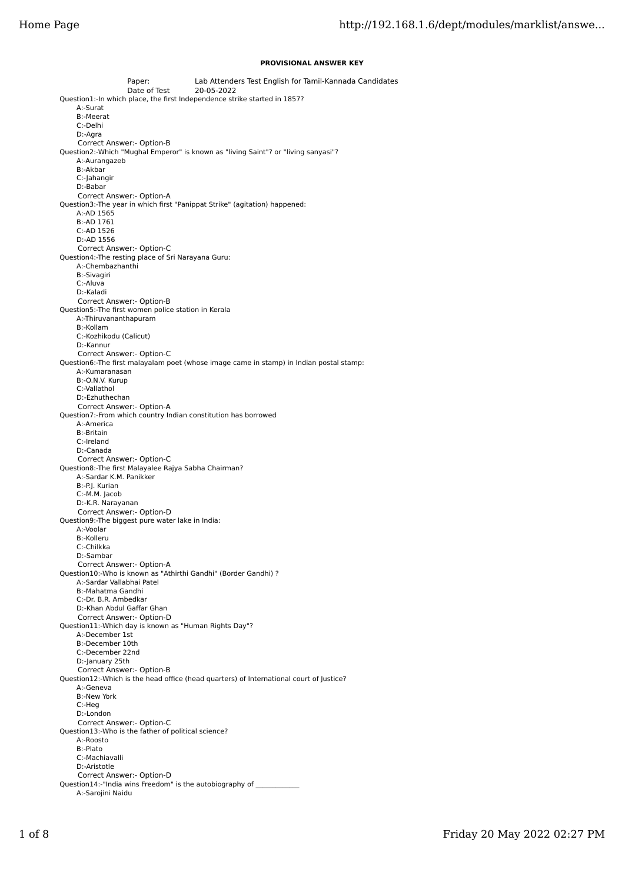## **PROVISIONAL ANSWER KEY**

Paper: Lab Attenders Test English for Tamil-Kannada Candidates Date of Test 20-05-2022 Question1:-In which place, the first Independence strike started in 1857? A:-Surat B:-Meerat C:-Delhi D:-Agra Correct Answer:- Option-B Question2:-Which "Mughal Emperor" is known as "living Saint"? or "living sanyasi"? A:-Aurangazeb B:-Akbar C:-Jahangir D:-Babar Correct Answer:- Option-A Question3:-The year in which first "Panippat Strike" (agitation) happened: A:-AD 1565 B:-AD 1761 C:-AD 1526 D:-AD 1556 Correct Answer:- Option-C Question4:-The resting place of Sri Narayana Guru: A:-Chembazhanthi B:-Sivagiri C:-Aluva D:-Kaladi Correct Answer:- Option-B Question5:-The first women police station in Kerala A:-Thiruvananthapuram B:-Kollam C:-Kozhikodu (Calicut) D:-Kannur Correct Answer:- Option-C Question6:-The first malayalam poet (whose image came in stamp) in Indian postal stamp: A:-Kumaranasan B:-O.N.V. Kurup C:-Vallathol D:-Ezhuthechan Correct Answer:- Option-A Question7:-From which country Indian constitution has borrowed A:-America B:-Britain C:-Ireland D:-Canada Correct Answer:- Option-C Question8:-The first Malayalee Rajya Sabha Chairman? A:-Sardar K.M. Panikker B:-P.J. Kurian C:-M.M. Jacob D:-K.R. Narayanan Correct Answer:- Option-D Question9:-The biggest pure water lake in India: A:-Voolar B:-Kolleru C:-Chilkka D:-Sambar Correct Answer:- Option-A Question10:-Who is known as "Athirthi Gandhi" (Border Gandhi) ? A:-Sardar Vallabhai Patel B:-Mahatma Gandhi C:-Dr. B.R. Ambedkar D:-Khan Abdul Gaffar Ghan Correct Answer:- Option-D Question11:-Which day is known as "Human Rights Day"? A:-December 1st B:-December 10th C:-December 22nd D:-January 25th Correct Answer:- Option-B Question12:-Which is the head office (head quarters) of International court of Justice? A:-Geneva B:-New York C:-Heg D:-London Correct Answer:- Option-C Question13:-Who is the father of political science? A:-Roosto B:-Plato C:-Machiavalli D:-Aristotle Correct Answer:- Option-D Question14:-"India wins Freedom" is the autobiography of A:-Sarojini Naidu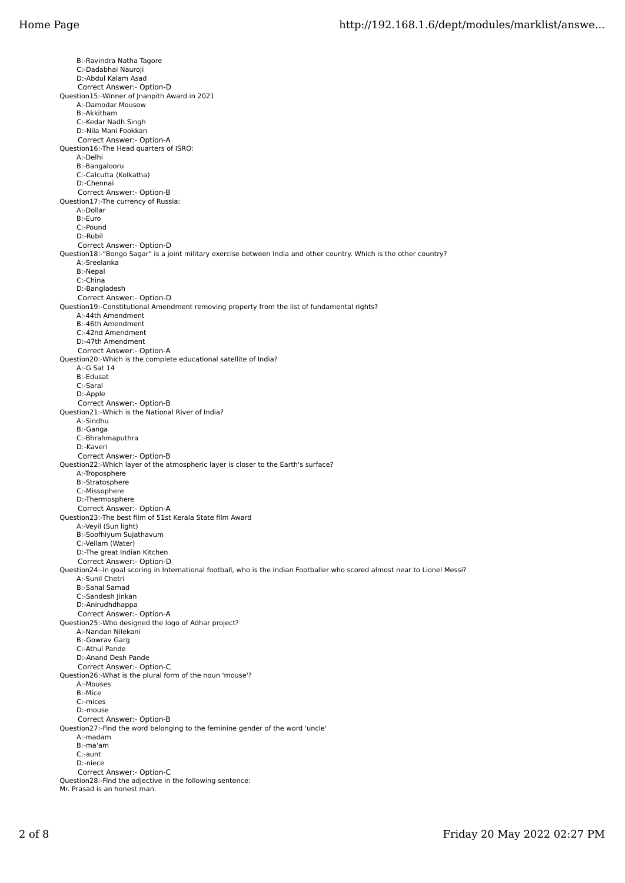B:-Ravindra Natha Tagore C:-Dadabhai Nauroji D:-Abdul Kalam Asad Correct Answer:- Option-D Question15:-Winner of Jnanpith Award in 2021 A:-Damodar Mousow B:-Akkitham C:-Kedar Nadh Singh D:-Nila Mani Fookkan Correct Answer:- Option-A Question16:-The Head quarters of ISRO: A:-Delhi B:-Bangalooru C:-Calcutta (Kolkatha) D:-Chennai Correct Answer:- Option-B Question17:-The currency of Russia: A:-Dollar B:-Euro C:-Pound D:-Rubil Correct Answer:- Option-D Question18:-"Bongo Sagar" is a joint military exercise between India and other country. Which is the other country? A:-Sreelanka B:-Nepal C:-China D:-Bangladesh Correct Answer:- Option-D Question19:-Constitutional Amendment removing property from the list of fundamental rights? A:-44th Amendment B:-46th Amendment C:-42nd Amendment D:-47th Amendment Correct Answer:- Option-A Question20:-Which is the complete educational satellite of India? A:-G Sat 14 B:-Edusat C:-Saral D:-Apple Correct Answer:- Option-B Question21:-Which is the National River of India? A:-Sindhu B:-Ganga C:-Bhrahmaputhra D:-Kaveri Correct Answer:- Option-B Question22:-Which layer of the atmospheric layer is closer to the Earth's surface? A:-Troposphere B:-Stratosphere C:-Missophere D:-Thermosphere Correct Answer:- Option-A Question23:-The best film of 51st Kerala State film Award A:-Veyil (Sun light) B:-Soofhiyum Sujathavum C:-Vellam (Water) D:-The great Indian Kitchen Correct Answer:- Option-D Question24:-In goal scoring in International football, who is the Indian Footballer who scored almost near to Lionel Messi? A:-Sunil Chetri B:-Sahal Samad C:-Sandesh Jinkan D:-Anirudhdhappa Correct Answer:- Option-A Question25:-Who designed the logo of Adhar project? A:-Nandan Nilekani B:-Gowrav Garg C:-Athul Pande D:-Anand Desh Pande Correct Answer:- Option-C Question26:-What is the plural form of the noun 'mouse'? A:-Mouses B:-Mice C:-mices D:-mouse Correct Answer:- Option-B Question27:-Find the word belonging to the feminine gender of the word 'uncle' A:-madam B:-ma'am C:-aunt D:-niece Correct Answer:- Option-C Question28:-Find the adjective in the following sentence: Mr. Prasad is an honest man.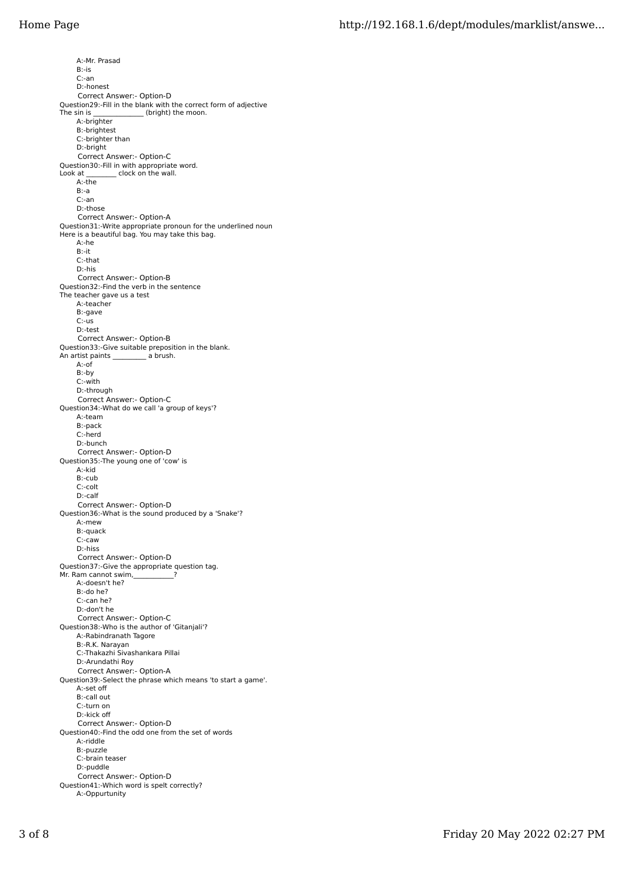A:-Mr. Prasad B:-is C:-an D:-honest Correct Answer:- Option-D Question29:-Fill in the blank with the correct form of adjective The sin is \_\_\_\_\_\_\_\_\_\_\_\_\_\_\_\_ (bright) the moon. A:-brighter B:-brightest C:-brighter than D:-bright Correct Answer:- Option-C Question30:-Fill in with appropriate word.<br>Look at \_\_\_\_\_\_\_\_\_ clock on the wall. Lock on the wall. A:-the B:-a C:-an D:-those Correct Answer:- Option-A Question31:-Write appropriate pronoun for the underlined noun Here is a beautiful bag. You may take this bag. A:-he B:-it C:-that D:-his Correct Answer:- Option-B Question32:-Find the verb in the sentence The teacher gave us a test A:-teacher B:-gave C:-us D:-test Correct Answer:- Option-B Question33:-Give suitable preposition in the blank.<br>An artist paints a brush. An artist paints A:-of B:-by C:-with D:-through Correct Answer:- Option-C Question34:-What do we call 'a group of keys'? A:-team B:-pack C:-herd D:-bunch Correct Answer:- Option-D Question35:-The young one of 'cow' is A:-kid B:-cub C:-colt D:-calf Correct Answer:- Option-D Question36:-What is the sound produced by a 'Snake'? A:-mew B:-quack C:-caw D:-hiss Correct Answer:- Option-D Question37:-Give the appropriate question tag. Mr. Ram cannot swim, A:-doesn't he? B:-do he? C:-can he? D:-don't he Correct Answer:- Option-C Question38:-Who is the author of 'Gitanjali'? A:-Rabindranath Tagore B:-R.K. Narayan C:-Thakazhi Sivashankara Pillai D:-Arundathi Roy Correct Answer:- Option-A Question39:-Select the phrase which means 'to start a game'. A:-set off B:-call out C:-turn on D:-kick off Correct Answer:- Option-D Question40:-Find the odd one from the set of words A:-riddle B:-puzzle C:-brain teaser D:-puddle Correct Answer:- Option-D Question41:-Which word is spelt correctly? A:-Oppurtunity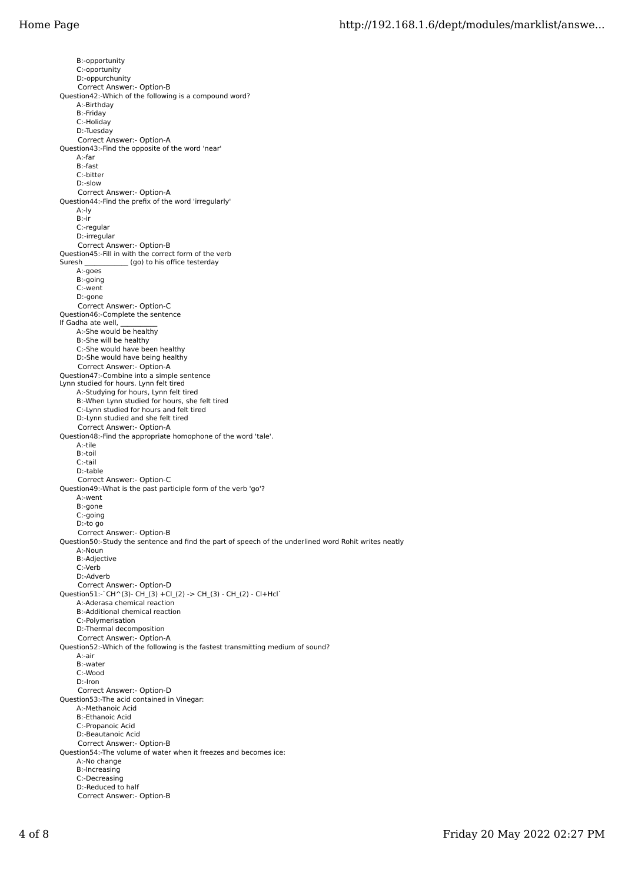B:-opportunity C:-oportunity D:-oppurchunity Correct Answer:- Option-B Question42:-Which of the following is a compound word? A:-Birthday B:-Friday C:-Holiday D:-Tuesday Correct Answer:- Option-A Question43:-Find the opposite of the word 'near' A:-far B:-fast C:-bitter D:-slow Correct Answer:- Option-A Question44:-Find the prefix of the word 'irregularly' A:-ly B:-ir C:-regular D:-irregular Correct Answer:- Option-B Question45:-Fill in with the correct form of the verb<br>Suresh (go) to his office testerday (go) to his office testerday A:-goes B:-going C:-went D:-gone Correct Answer:- Option-C Question46:-Complete the sentence If Gadha ate well, A:-She would be healthy B:-She will be healthy C:-She would have been healthy D:-She would have being healthy Correct Answer:- Option-A Question47:-Combine into a simple sentence Lynn studied for hours. Lynn felt tired A:-Studying for hours, Lynn felt tired B:-When Lynn studied for hours, she felt tired C:-Lynn studied for hours and felt tired D:-Lynn studied and she felt tired Correct Answer:- Option-A Question48:-Find the appropriate homophone of the word 'tale'. A:-tile B:-toil C:-tail D:-table Correct Answer:- Option-C Question49:-What is the past participle form of the verb 'go'? A:-went B:-gone C:-going D:-to go Correct Answer:- Option-B Question50:-Study the sentence and find the part of speech of the underlined word Rohit writes neatly A:-Noun B:-Adjective C:-Verb D:-Adverb Correct Answer:- Option-D Question51:-`CH^(3)- CH\_(3) +Cl\_(2) -> CH\_(3) - CH\_(2) - Cl+Hcl` A:-Aderasa chemical reaction B:-Additional chemical reaction C:-Polymerisation D:-Thermal decomposition Correct Answer:- Option-A Question52:-Which of the following is the fastest transmitting medium of sound? A:-air B:-water C:-Wood D:-Iron Correct Answer:- Option-D Question53:-The acid contained in Vinegar: A:-Methanoic Acid B:-Ethanoic Acid C:-Propanoic Acid D:-Beautanoic Acid Correct Answer:- Option-B Question54:-The volume of water when it freezes and becomes ice: A:-No change B:-Increasing C:-Decreasing D:-Reduced to half Correct Answer:- Option-B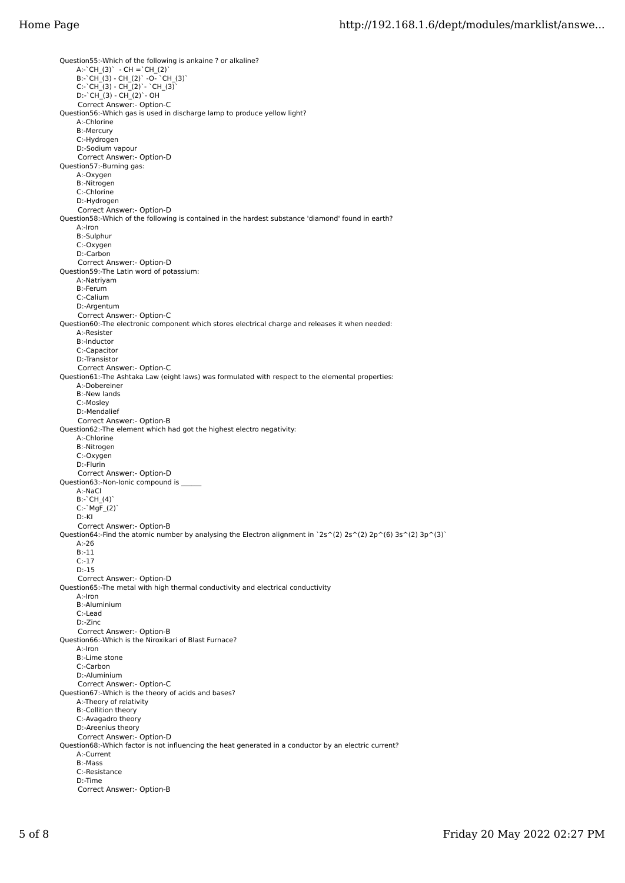Question55:-Which of the following is ankaine ? or alkaline? A:-`CH\_(3)` - CH =`CH\_(2)` B:-`CH\_(3) - CH\_(2)` -O- `CH\_(3)` C:-`CH\_(3) - CH\_(2)`- `CH\_(3)` D:-`CH\_(3) - CH\_(2)`- OH Correct Answer:- Option-C Question56:-Which gas is used in discharge lamp to produce yellow light? A:-Chlorine B:-Mercury C:-Hydrogen D:-Sodium vapour Correct Answer:- Option-D Question57:-Burning gas: A:-Oxygen B:-Nitrogen C:-Chlorine D:-Hydrogen Correct Answer:- Option-D Question58:-Which of the following is contained in the hardest substance 'diamond' found in earth? A:-Iron B:-Sulphur C:-Oxygen D:-Carbon Correct Answer:- Option-D Question59:-The Latin word of potassium: A:-Natriyam B:-Ferum C:-Calium D:-Argentum Correct Answer:- Option-C Question60:-The electronic component which stores electrical charge and releases it when needed: A:-Resister B:-Inductor C:-Capacitor D:-Transistor Correct Answer:- Option-C Question61:-The Ashtaka Law (eight laws) was formulated with respect to the elemental properties: A:-Dobereiner B:-New lands C:-Mosley D:-Mendalief Correct Answer:- Option-B Question62:-The element which had got the highest electro negativity: A:-Chlorine B:-Nitrogen C:-Oxygen D:-Flurin Correct Answer:- Option-D Question63:-Non-Ionic compound is A:-NaCl B:-`CH\_(4)` C:-`MgF\_(2)` D:-KI Correct Answer:- Option-B Question64:-Find the atomic number by analysing the Electron alignment in `2s^(2) 2s^(2) 2p^(6) 3s^(2) 3p^(3)` A:-26 B:-11 C:-17 D:-15 Correct Answer:- Option-D Question65:-The metal with high thermal conductivity and electrical conductivity A:-Iron B:-Aluminium C:-Lead D:-Zinc Correct Answer:- Option-B Question66:-Which is the Niroxikari of Blast Furnace? A:-Iron B:-Lime stone C:-Carbon D:-Aluminium Correct Answer:- Option-C Question67:-Which is the theory of acids and bases? A: Theory of relativity B:-Collition theory C:-Avagadro theory D:-Areenius theory Correct Answer:- Option-D Question68:-Which factor is not influencing the heat generated in a conductor by an electric current? A:-Current B:-Mass C:-Resistance D:-Time Correct Answer:- Option-B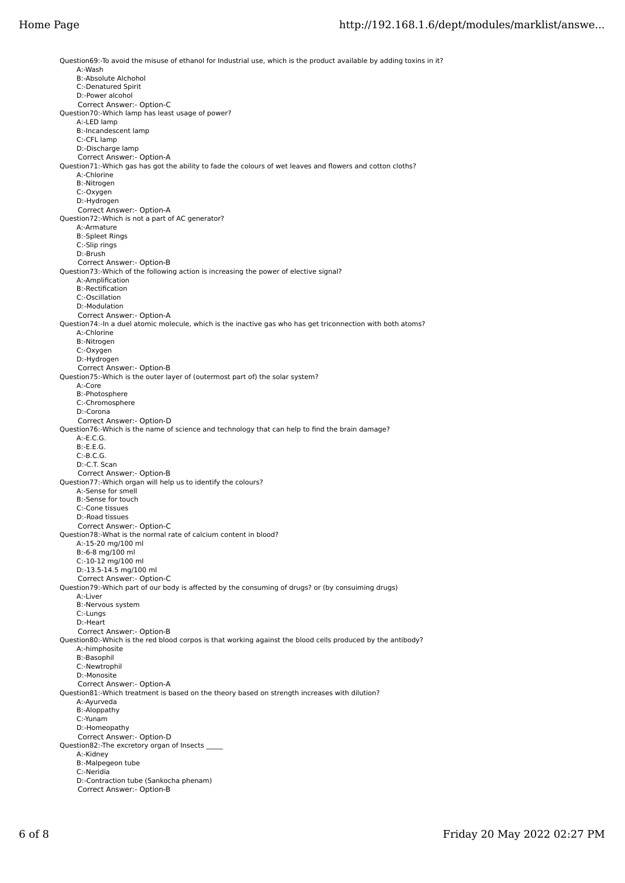Question69:-To avoid the misuse of ethanol for Industrial use, which is the product available by adding toxins in it? A:-Wash B:-Absolute Alchohol C:-Denatured Spirit D:-Power alcohol Correct Answer:- Option-C Question70:-Which lamp has least usage of power? A:-LED lamp B:-Incandescent lamp C:-CFL lamp D:-Discharge lamp Correct Answer:- Option-A Question71:-Which gas has got the ability to fade the colours of wet leaves and flowers and cotton cloths? A:-Chlorine B:-Nitrogen C:-Oxygen D:-Hydrogen Correct Answer:- Option-A Question72:-Which is not a part of AC generator? A:-Armature B:-Spleet Rings C:-Slip rings D:-Brush Correct Answer:- Option-B Question73:-Which of the following action is increasing the power of elective signal? A:-Amplification B:-Rectification C:-Oscillation D:-Modulation Correct Answer:- Option-A Question74:-In a duel atomic molecule, which is the inactive gas who has get triconnection with both atoms? A:-Chlorine B:-Nitrogen C:-Oxygen D:-Hydrogen Correct Answer:- Option-B Question75:-Which is the outer layer of (outermost part of) the solar system? A:-Core B:-Photosphere C:-Chromosphere D:-Corona Correct Answer:- Option-D Question76:-Which is the name of science and technology that can help to find the brain damage? A:-E.C.G. B:-E.E.G. C:-B.C.G. D:-C.T. Scan Correct Answer:- Option-B Question77:-Which organ will help us to identify the colours? A:-Sense for smell B:-Sense for touch C:-Cone tissues D:-Road tissues Correct Answer:- Option-C Question78:-What is the normal rate of calcium content in blood? A:-15-20 mg/100 ml B:-6-8 mg/100 ml C:-10-12 mg/100 ml D:-13.5-14.5 mg/100 ml Correct Answer:- Option-C Question79:-Which part of our body is affected by the consuming of drugs? or (by consuiming drugs) A:-Liver B:-Nervous system C:-Lungs D:-Heart Correct Answer:- Option-B Question80:-Which is the red blood corpos is that working against the blood cells produced by the antibody? A:-himphosite B:-Basophil C:-Newtrophil D:-Monosite Correct Answer:- Option-A Question81:-Which treatment is based on the theory based on strength increases with dilution? A:-Ayurveda B:-Aloppathy C:-Yunam D:-Homeopathy Correct Answer:- Option-D Question82:-The excretory organ of Insects \_\_\_\_\_ A:-Kidney B:-Malpegeon tube C:-Neridia D:-Contraction tube (Sankocha phenam) Correct Answer:- Option-B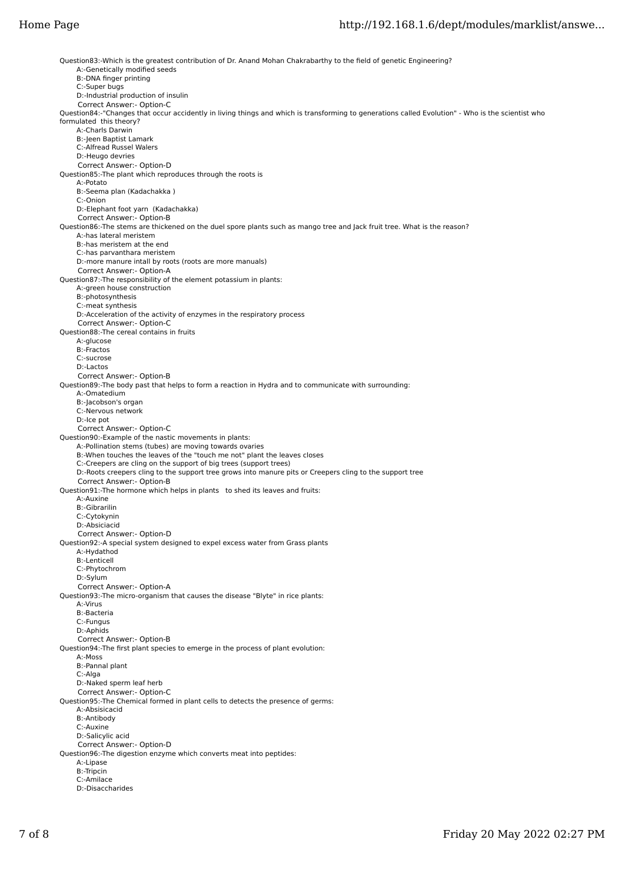Question83:-Which is the greatest contribution of Dr. Anand Mohan Chakrabarthy to the field of genetic Engineering? A:-Genetically modified seeds B:-DNA finger printing C:-Super bugs D:-Industrial production of insulin Correct Answer:- Option-C Question84:-"Changes that occur accidently in living things and which is transforming to generations called Evolution" - Who is the scientist who formulated this theory? A:-Charls Darwin B:-Jeen Baptist Lamark C:-Alfread Russel Walers D:-Heugo devries Correct Answer:- Option-D Question85:-The plant which reproduces through the roots is A:-Potato B:-Seema plan (Kadachakka ) C:-Onion D:-Elephant foot yarn (Kadachakka) Correct Answer:- Option-B Question86:-The stems are thickened on the duel spore plants such as mango tree and Jack fruit tree. What is the reason? A:-has lateral meristem B:-has meristem at the end C:-has parvanthara meristem D:-more manure intall by roots (roots are more manuals) Correct Answer:- Option-A Question87:-The responsibility of the element potassium in plants: A:-green house construction B:-photosynthesis C:-meat synthesis D:-Acceleration of the activity of enzymes in the respiratory process Correct Answer:- Option-C Question88:-The cereal contains in fruits A:-glucose B:-Fractos C:-sucrose D:-Lactos Correct Answer:- Option-B Question89:-The body past that helps to form a reaction in Hydra and to communicate with surrounding: A:-Omatedium B:-Jacobson's organ C:-Nervous network D:-Ice pot Correct Answer:- Option-C Question90:-Example of the nastic movements in plants: A:-Pollination stems (tubes) are moving towards ovaries B:-When touches the leaves of the "touch me not" plant the leaves closes C:-Creepers are cling on the support of big trees (support trees) D:-Roots creepers cling to the support tree grows into manure pits or Creepers cling to the support tree Correct Answer:- Option-B Question91:-The hormone which helps in plants to shed its leaves and fruits: A:-Auxine B:-Gibrarilin C:-Cytokynin D:-Absiciacid Correct Answer:- Option-D Question92:-A special system designed to expel excess water from Grass plants A:-Hydathod B:-Lenticell C:-Phytochrom D:-Sylum Correct Answer:- Option-A Question93:-The micro-organism that causes the disease "Blyte" in rice plants: A:-Virus B:-Bacteria C:-Fungus D:-Aphids Correct Answer:- Option-B Question94:-The first plant species to emerge in the process of plant evolution: A:-Moss B:-Pannal plant C:-Alga D:-Naked sperm leaf herb Correct Answer:- Option-C Question95:-The Chemical formed in plant cells to detects the presence of germs: A:-Absisicacid B:-Antibody C:-Auxine D:-Salicylic acid Correct Answer:- Option-D Question96:-The digestion enzyme which converts meat into peptides: A:-Lipase B:-Tripcin C:-Amilace D:-Disaccharides